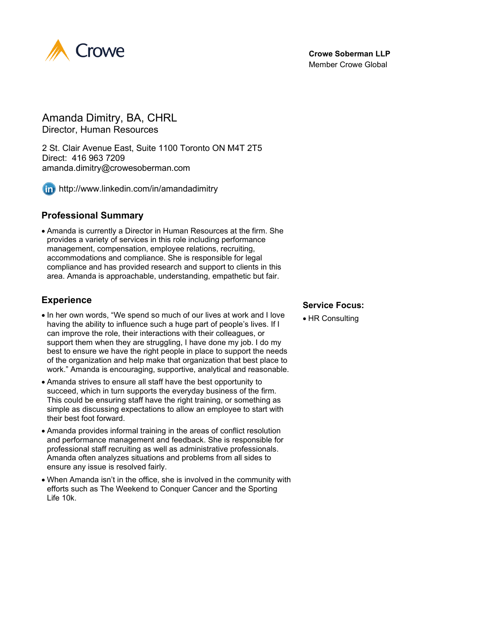

### Amanda Dimitry, BA, CHRL Director, Human Resources

2 St. Clair Avenue East, Suite 1100 Toronto ON M4T 2T5 Direct: 416 963 7209

amanda.dimitry@crowesoberman.com



http://www.linkedin.com/in/amandadimitry

## **Professional Summary**

• Amanda is currently a Director in Human Resources at the firm. She provides a variety of services in this role including performance management, compensation, employee relations, recruiting, accommodations and compliance. She is responsible for legal compliance and has provided research and support to clients in this area. Amanda is approachable, understanding, empathetic but fair.

# **Experience**

- In her own words, "We spend so much of our lives at work and I love having the ability to influence such a huge part of people's lives. If I can improve the role, their interactions with their colleagues, or support them when they are struggling, I have done my job. I do my best to ensure we have the right people in place to support the needs of the organization and help make that organization that best place to work." Amanda is encouraging, supportive, analytical and reasonable.
- Amanda strives to ensure all staff have the best opportunity to succeed, which in turn supports the everyday business of the firm. This could be ensuring staff have the right training, or something as simple as discussing expectations to allow an employee to start with their best foot forward.
- Amanda provides informal training in the areas of conflict resolution and performance management and feedback. She is responsible for professional staff recruiting as well as administrative professionals. Amanda often analyzes situations and problems from all sides to ensure any issue is resolved fairly.
- When Amanda isn't in the office, she is involved in the community with efforts such as The Weekend to Conquer Cancer and the Sporting Life 10k.

#### **Service Focus:**

• HR Consulting